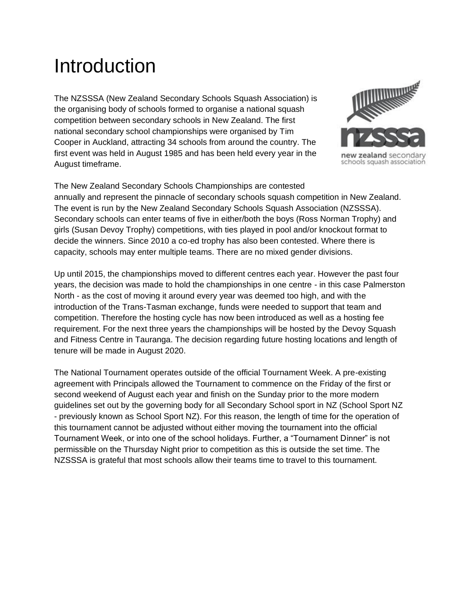# Introduction

The NZSSSA (New Zealand Secondary Schools Squash Association) is the organising body of schools formed to organise a national squash competition between secondary schools in New Zealand. The first national secondary school championships were organised by Tim Cooper in Auckland, attracting 34 schools from around the country. The first event was held in August 1985 and has been held every year in the August timeframe.



new zealand secondary schools squash association

The New Zealand Secondary Schools Championships are contested annually and represent the pinnacle of secondary schools squash competition in New Zealand. The event is run by the New Zealand Secondary Schools Squash Association (NZSSSA). Secondary schools can enter teams of five in either/both the boys (Ross Norman Trophy) and girls (Susan Devoy Trophy) competitions, with ties played in pool and/or knockout format to decide the winners. Since 2010 a co-ed trophy has also been contested. Where there is capacity, schools may enter multiple teams. There are no mixed gender divisions.

Up until 2015, the championships moved to different centres each year. However the past four years, the decision was made to hold the championships in one centre - in this case Palmerston North - as the cost of moving it around every year was deemed too high, and with the introduction of the Trans-Tasman exchange, funds were needed to support that team and competition. Therefore the hosting cycle has now been introduced as well as a hosting fee requirement. For the next three years the championships will be hosted by the Devoy Squash and Fitness Centre in Tauranga. The decision regarding future hosting locations and length of tenure will be made in August 2020.

The National Tournament operates outside of the official Tournament Week. A pre-existing agreement with Principals allowed the Tournament to commence on the Friday of the first or second weekend of August each year and finish on the Sunday prior to the more modern guidelines set out by the governing body for all Secondary School sport in NZ (School Sport NZ - previously known as School Sport NZ). For this reason, the length of time for the operation of this tournament cannot be adjusted without either moving the tournament into the official Tournament Week, or into one of the school holidays. Further, a "Tournament Dinner" is not permissible on the Thursday Night prior to competition as this is outside the set time. The NZSSSA is grateful that most schools allow their teams time to travel to this tournament.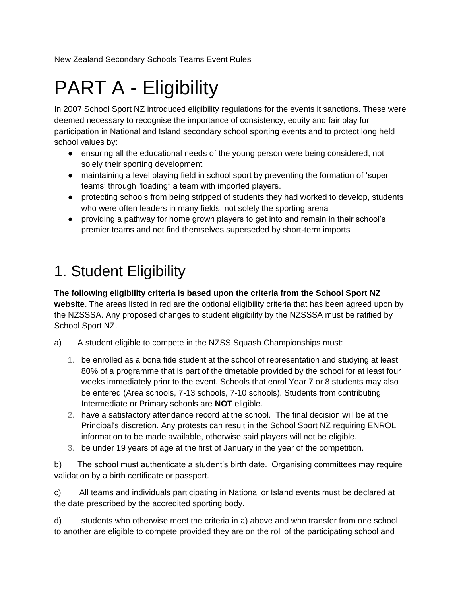New Zealand Secondary Schools Teams Event Rules

# PART A - Eligibility

In 2007 School Sport NZ introduced eligibility regulations for the events it sanctions. These were deemed necessary to recognise the importance of consistency, equity and fair play for participation in National and Island secondary school sporting events and to protect long held school values by:

- ensuring all the educational needs of the young person were being considered, not solely their sporting development
- maintaining a level playing field in school sport by preventing the formation of 'super teams' through "loading" a team with imported players.
- protecting schools from being stripped of students they had worked to develop, students who were often leaders in many fields, not solely the sporting arena
- providing a pathway for home grown players to get into and remain in their school's premier teams and not find themselves superseded by short-term imports

### 1. Student Eligibility

**The following eligibility criteria is based upon the criteria from the School Sport NZ website**. The areas listed in red are the optional eligibility criteria that has been agreed upon by the NZSSSA. Any proposed changes to student eligibility by the NZSSSA must be ratified by School Sport NZ.

- a) A student eligible to compete in the NZSS Squash Championships must:
	- 1. be enrolled as a bona fide student at the school of representation and studying at least 80% of a programme that is part of the timetable provided by the school for at least four weeks immediately prior to the event. Schools that enrol Year 7 or 8 students may also be entered (Area schools, 7-13 schools, 7-10 schools). Students from contributing Intermediate or Primary schools are **NOT** eligible.
	- 2. have a satisfactory attendance record at the school. The final decision will be at the Principal's discretion. Any protests can result in the School Sport NZ requiring ENROL information to be made available, otherwise said players will not be eligible.
	- 3. be under 19 years of age at the first of January in the year of the competition.

b) The school must authenticate a student's birth date. Organising committees may require validation by a birth certificate or passport.

c) All teams and individuals participating in National or Island events must be declared at the date prescribed by the accredited sporting body.

d) students who otherwise meet the criteria in a) above and who transfer from one school to another are eligible to compete provided they are on the roll of the participating school and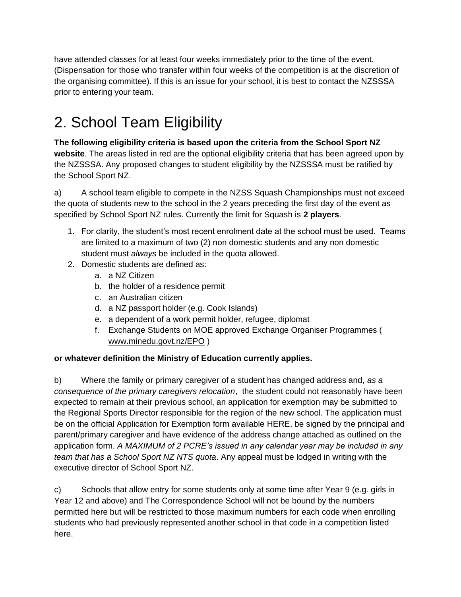have attended classes for at least four weeks immediately prior to the time of the event. (Dispensation for those who transfer within four weeks of the competition is at the discretion of the organising committee). If this is an issue for your school, it is best to contact the NZSSSA prior to entering your team.

# 2. School Team Eligibility

**The following eligibility criteria is based upon the criteria from the School Sport NZ website**. The areas listed in red are the optional eligibility criteria that has been agreed upon by the NZSSSA. Any proposed changes to student eligibility by the NZSSSA must be ratified by the School Sport NZ.

a) A school team eligible to compete in the NZSS Squash Championships must not exceed the quota of students new to the school in the 2 years preceding the first day of the event as specified by School Sport NZ rules. Currently the limit for Squash is **2 players**.

- 1. For clarity, the student's most recent enrolment date at the school must be used. Teams are limited to a maximum of two (2) non domestic students and any non domestic student must *always* be included in the quota allowed.
- 2. Domestic students are defined as:
	- a. a NZ Citizen
	- b. the holder of a residence permit
	- c. an Australian citizen
	- d. a NZ passport holder (e.g. Cook Islands)
	- e. a dependent of a work permit holder, refugee, diplomat
	- f. Exchange Students on MOE approved Exchange Organiser Programmes ( [www.minedu.govt.nz/EPO](http://www.minedu.govt.nz/EPO) )

#### **or whatever definition the Ministry of Education currently applies.**

b) Where the family or primary caregiver of a student has changed address and, *as a consequence of the primary caregivers relocation*, the student could not reasonably have been expected to remain at their previous school, an application for exemption may be submitted to the Regional Sports Director responsible for the region of the new school. The application must be on the official Application for Exemption form available [HERE,](https://www.sporty.co.nz/asset/downloadasset?id=76b196f4-7413-45dc-849a-be6ef2ff695a) be signed by the principal and parent/primary caregiver and have evidence of the address change attached as outlined on the application form. *A MAXIMUM of 2 PCRE's issued in any calendar year may be included in any team that has a School Sport NZ NTS quota*. Any appeal must be lodged in writing with the executive director of School Sport NZ.

c) Schools that allow entry for some students only at some time after Year 9 (e.g. girls in Year 12 and above) and The Correspondence School will not be bound by the numbers permitted here but will be restricted to those maximum numbers for each code when enrolling students who had previously represented another school in that code in a competition listed here.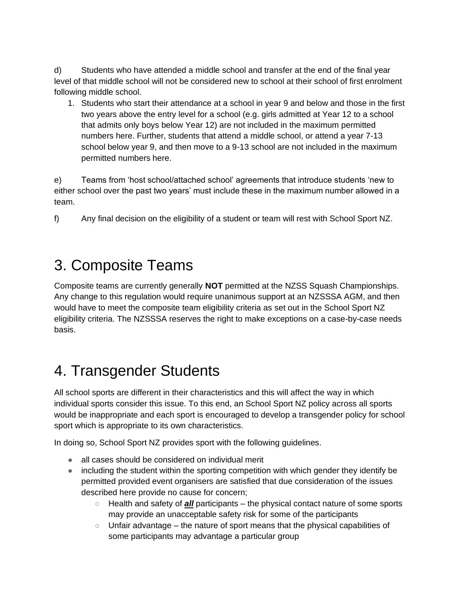d) Students who have attended a middle school and transfer at the end of the final year level of that middle school will not be considered new to school at their school of first enrolment following middle school.

1. Students who start their attendance at a school in year 9 and below and those in the first two years above the entry level for a school (e.g. girls admitted at Year 12 to a school that admits only boys below Year 12) are not included in the maximum permitted numbers here. Further, students that attend a middle school, or attend a year 7-13 school below year 9, and then move to a 9-13 school are not included in the maximum permitted numbers here.

e) Teams from 'host school/attached school' agreements that introduce students 'new to either school over the past two years' must include these in the maximum number allowed in a team.

f) Any final decision on the eligibility of a student or team will rest with School Sport NZ.

#### 3. Composite Teams

Composite teams are currently generally **NOT** permitted at the NZSS Squash Championships. Any change to this regulation would require unanimous support at an NZSSSA AGM, and then would have to meet the composite team eligibility criteria as set out in the School Sport NZ eligibility criteria. The NZSSSA reserves the right to make exceptions on a case-by-case needs basis.

### 4. Transgender Students

All school sports are different in their characteristics and this will affect the way in which individual sports consider this issue. To this end, an School Sport NZ policy across all sports would be inappropriate and each sport is encouraged to develop a transgender policy for school sport which is appropriate to its own characteristics.

In doing so, School Sport NZ provides sport with the following guidelines.

- all cases should be considered on individual merit
- including the student within the sporting competition with which gender they identify be permitted provided event organisers are satisfied that due consideration of the issues described here provide no cause for concern;
	- Health and safety of *all* participants the physical contact nature of some sports may provide an unacceptable safety risk for some of the participants
	- Unfair advantage the nature of sport means that the physical capabilities of some participants may advantage a particular group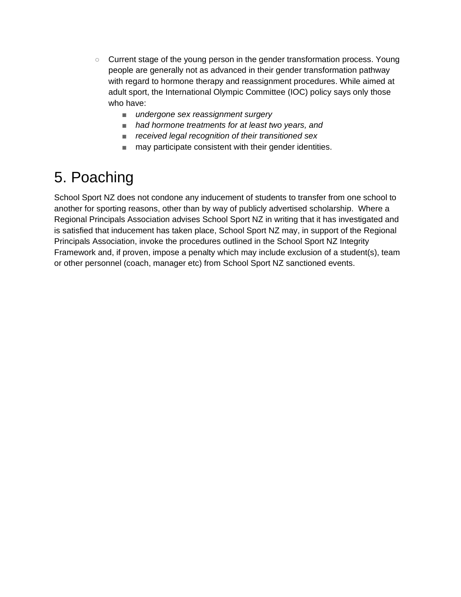- Current stage of the young person in the gender transformation process. Young people are generally not as advanced in their gender transformation pathway with regard to hormone therapy and reassignment procedures. While aimed at adult sport, the International Olympic Committee (IOC) policy says only those who have:
	- *undergone sex reassignment surgery*
	- *had hormone treatments for at least two years, and*
	- *received legal recognition of their transitioned sex*
	- may participate consistent with their gender identities.

### 5. Poaching

School Sport NZ does not condone any inducement of students to transfer from one school to another for sporting reasons, other than by way of publicly advertised scholarship. Where a Regional Principals Association advises School Sport NZ in writing that it has investigated and is satisfied that inducement has taken place, School Sport NZ may, in support of the Regional Principals Association, invoke the procedures outlined in the School Sport NZ Integrity Framework and, if proven, impose a penalty which may include exclusion of a student(s), team or other personnel (coach, manager etc) from School Sport NZ sanctioned events.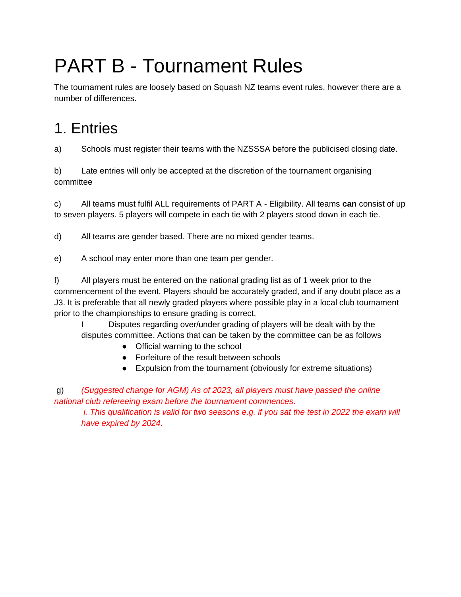# PART B - Tournament Rules

The tournament rules are loosely based on Squash NZ teams event rules, however there are a number of differences.

# 1. Entries

a) Schools must register their teams with the NZSSSA before the publicised closing date.

b) Late entries will only be accepted at the discretion of the tournament organising committee

c) All teams must fulfil ALL requirements of PART A - Eligibility. All teams **can** consist of up to seven players. 5 players will compete in each tie with 2 players stood down in each tie.

d) All teams are gender based. There are no mixed gender teams.

e) A school may enter more than one team per gender.

f) All players must be entered on the national grading list as of 1 week prior to the commencement of the event. Players should be accurately graded, and if any doubt place as a J3. It is preferable that all newly graded players where possible play in a local club tournament prior to the championships to ensure grading is correct.

I Disputes regarding over/under grading of players will be dealt with by the disputes committee. Actions that can be taken by the committee can be as follows

- Official warning to the school
- Forfeiture of the result between schools
- Expulsion from the tournament (obviously for extreme situations)

g) *(Suggested change for AGM) As of 2023, all players must have passed the online national club refereeing exam before the tournament commences.*

*i. This qualification is valid for two seasons e.g. if you sat the test in 2022 the exam will have expired by 2024.*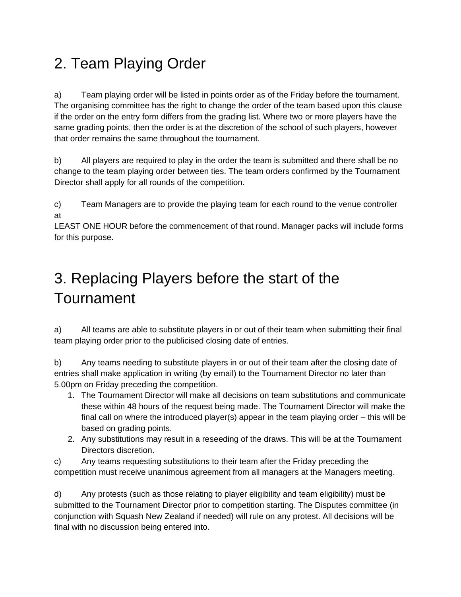## 2. Team Playing Order

a) Team playing order will be listed in points order as of the Friday before the tournament. The organising committee has the right to change the order of the team based upon this clause if the order on the entry form differs from the grading list. Where two or more players have the same grading points, then the order is at the discretion of the school of such players, however that order remains the same throughout the tournament.

b) All players are required to play in the order the team is submitted and there shall be no change to the team playing order between ties. The team orders confirmed by the Tournament Director shall apply for all rounds of the competition.

c) Team Managers are to provide the playing team for each round to the venue controller at

LEAST ONE HOUR before the commencement of that round. Manager packs will include forms for this purpose.

# 3. Replacing Players before the start of the Tournament

a) All teams are able to substitute players in or out of their team when submitting their final team playing order prior to the publicised closing date of entries.

b) Any teams needing to substitute players in or out of their team after the closing date of entries shall make application in writing (by email) to the Tournament Director no later than 5.00pm on Friday preceding the competition.

- 1. The Tournament Director will make all decisions on team substitutions and communicate these within 48 hours of the request being made. The Tournament Director will make the final call on where the introduced player(s) appear in the team playing order – this will be based on grading points.
- 2. Any substitutions may result in a reseeding of the draws. This will be at the Tournament Directors discretion.

c) Any teams requesting substitutions to their team after the Friday preceding the competition must receive unanimous agreement from all managers at the Managers meeting.

d) Any protests (such as those relating to player eligibility and team eligibility) must be submitted to the Tournament Director prior to competition starting. The Disputes committee (in conjunction with Squash New Zealand if needed) will rule on any protest. All decisions will be final with no discussion being entered into.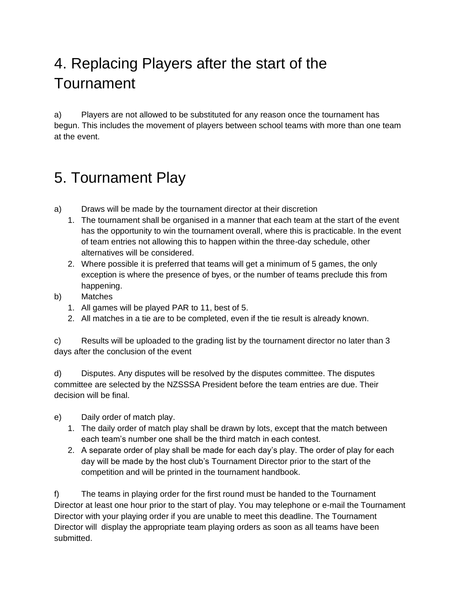## 4. Replacing Players after the start of the Tournament

a) Players are not allowed to be substituted for any reason once the tournament has begun. This includes the movement of players between school teams with more than one team at the event.

#### 5. Tournament Play

- a) Draws will be made by the tournament director at their discretion
	- 1. The tournament shall be organised in a manner that each team at the start of the event has the opportunity to win the tournament overall, where this is practicable. In the event of team entries not allowing this to happen within the three-day schedule, other alternatives will be considered.
	- 2. Where possible it is preferred that teams will get a minimum of 5 games, the only exception is where the presence of byes, or the number of teams preclude this from happening.
- b) Matches
	- 1. All games will be played PAR to 11, best of 5.
	- 2. All matches in a tie are to be completed, even if the tie result is already known.

c) Results will be uploaded to the grading list by the tournament director no later than 3 days after the conclusion of the event

d) Disputes. Any disputes will be resolved by the disputes committee. The disputes committee are selected by the NZSSSA President before the team entries are due. Their decision will be final.

- e) Daily order of match play.
	- 1. The daily order of match play shall be drawn by lots, except that the match between each team's number one shall be the third match in each contest.
	- 2. A separate order of play shall be made for each day's play. The order of play for each day will be made by the host club's Tournament Director prior to the start of the competition and will be printed in the tournament handbook.

f) The teams in playing order for the first round must be handed to the Tournament Director at least one hour prior to the start of play. You may telephone or e-mail the Tournament Director with your playing order if you are unable to meet this deadline. The Tournament Director will display the appropriate team playing orders as soon as all teams have been submitted.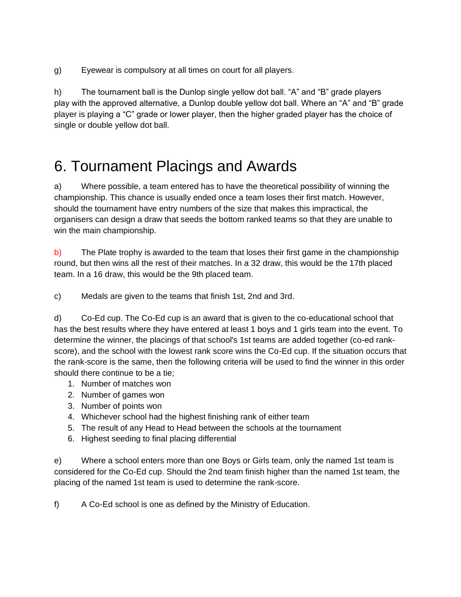g) Eyewear is compulsory at all times on court for all players.

h) The tournament ball is the Dunlop single yellow dot ball. "A" and "B" grade players play with the approved alternative, a Dunlop double yellow dot ball. Where an "A" and "B" grade player is playing a "C" grade or lower player, then the higher graded player has the choice of single or double yellow dot ball.

#### 6. Tournament Placings and Awards

a) Where possible, a team entered has to have the theoretical possibility of winning the championship. This chance is usually ended once a team loses their first match. However, should the tournament have entry numbers of the size that makes this impractical, the organisers can design a draw that seeds the bottom ranked teams so that they are unable to win the main championship.

b) The Plate trophy is awarded to the team that loses their first game in the championship round, but then wins all the rest of their matches. In a 32 draw, this would be the 17th placed team. In a 16 draw, this would be the 9th placed team.

c) Medals are given to the teams that finish 1st, 2nd and 3rd.

d) Co-Ed cup. The Co-Ed cup is an award that is given to the co-educational school that has the best results where they have entered at least 1 boys and 1 girls team into the event. To determine the winner, the placings of that school's 1st teams are added together (co-ed rankscore), and the school with the lowest rank score wins the Co-Ed cup. If the situation occurs that the rank-score is the same, then the following criteria will be used to find the winner in this order should there continue to be a tie;

- 1. Number of matches won
- 2. Number of games won
- 3. Number of points won
- 4. Whichever school had the highest finishing rank of either team
- 5. The result of any Head to Head between the schools at the tournament
- 6. Highest seeding to final placing differential

e) Where a school enters more than one Boys or Girls team, only the named 1st team is considered for the Co-Ed cup. Should the 2nd team finish higher than the named 1st team, the placing of the named 1st team is used to determine the rank-score.

f) A Co-Ed school is one as defined by the Ministry of Education.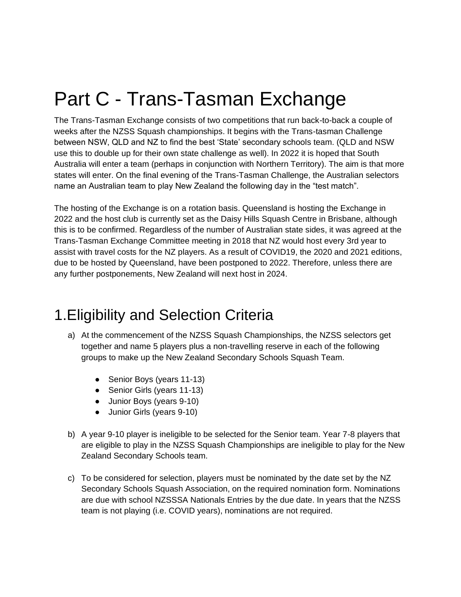# Part C - Trans-Tasman Exchange

The Trans-Tasman Exchange consists of two competitions that run back-to-back a couple of weeks after the NZSS Squash championships. It begins with the Trans-tasman Challenge between NSW, QLD and NZ to find the best 'State' secondary schools team. (QLD and NSW use this to double up for their own state challenge as well). In 2022 it is hoped that South Australia will enter a team (perhaps in conjunction with Northern Territory). The aim is that more states will enter. On the final evening of the Trans-Tasman Challenge, the Australian selectors name an Australian team to play New Zealand the following day in the "test match".

The hosting of the Exchange is on a rotation basis. Queensland is hosting the Exchange in 2022 and the host club is currently set as the Daisy Hills Squash Centre in Brisbane, although this is to be confirmed. Regardless of the number of Australian state sides, it was agreed at the Trans-Tasman Exchange Committee meeting in 2018 that NZ would host every 3rd year to assist with travel costs for the NZ players. As a result of COVID19, the 2020 and 2021 editions, due to be hosted by Queensland, have been postponed to 2022. Therefore, unless there are any further postponements, New Zealand will next host in 2024.

#### 1.Eligibility and Selection Criteria

- a) At the commencement of the NZSS Squash Championships, the NZSS selectors get together and name 5 players plus a non-travelling reserve in each of the following groups to make up the New Zealand Secondary Schools Squash Team.
	- Senior Boys (years 11-13)
	- Senior Girls (years 11-13)
	- Junior Boys (years 9-10)
	- Junior Girls (years 9-10)
- b) A year 9-10 player is ineligible to be selected for the Senior team. Year 7-8 players that are eligible to play in the NZSS Squash Championships are ineligible to play for the New Zealand Secondary Schools team.
- c) To be considered for selection, players must be nominated by the date set by the NZ Secondary Schools Squash Association, on the required nomination form. Nominations are due with school NZSSSA Nationals Entries by the due date. In years that the NZSS team is not playing (i.e. COVID years), nominations are not required.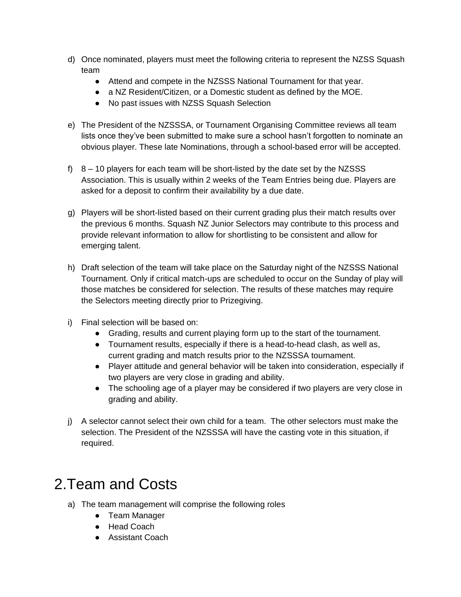- d) Once nominated, players must meet the following criteria to represent the NZSS Squash team
	- Attend and compete in the NZSSS National Tournament for that year.
	- a NZ Resident/Citizen, or a Domestic student as defined by the MOE.
	- No past issues with NZSS Squash Selection
- e) The President of the NZSSSA, or Tournament Organising Committee reviews all team lists once they've been submitted to make sure a school hasn't forgotten to nominate an obvious player. These late Nominations, through a school-based error will be accepted.
- f) 8 10 players for each team will be short-listed by the date set by the NZSSS Association. This is usually within 2 weeks of the Team Entries being due. Players are asked for a deposit to confirm their availability by a due date.
- g) Players will be short-listed based on their current grading plus their match results over the previous 6 months. Squash NZ Junior Selectors may contribute to this process and provide relevant information to allow for shortlisting to be consistent and allow for emerging talent.
- h) Draft selection of the team will take place on the Saturday night of the NZSSS National Tournament. Only if critical match-ups are scheduled to occur on the Sunday of play will those matches be considered for selection. The results of these matches may require the Selectors meeting directly prior to Prizegiving.
- i) Final selection will be based on:
	- Grading, results and current playing form up to the start of the tournament.
	- Tournament results, especially if there is a head-to-head clash, as well as, current grading and match results prior to the NZSSSA tournament.
	- Player attitude and general behavior will be taken into consideration, especially if two players are very close in grading and ability.
	- The schooling age of a player may be considered if two players are very close in grading and ability.
- j) A selector cannot select their own child for a team. The other selectors must make the selection. The President of the NZSSSA will have the casting vote in this situation, if required.

### 2.Team and Costs

- a) The team management will comprise the following roles
	- Team Manager
	- Head Coach
	- Assistant Coach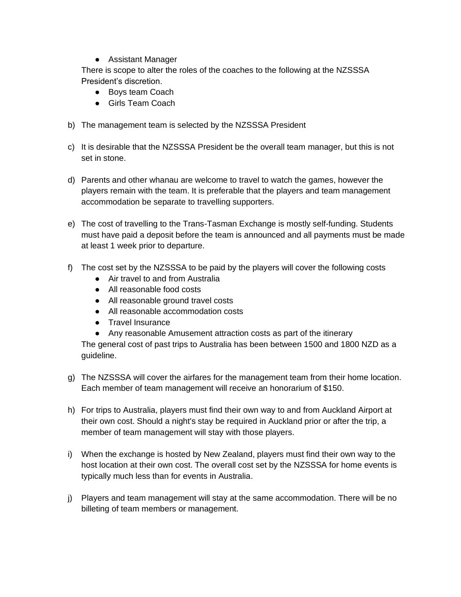● Assistant Manager

There is scope to alter the roles of the coaches to the following at the NZSSSA President's discretion.

- Boys team Coach
- Girls Team Coach
- b) The management team is selected by the NZSSSA President
- c) It is desirable that the NZSSSA President be the overall team manager, but this is not set in stone.
- d) Parents and other whanau are welcome to travel to watch the games, however the players remain with the team. It is preferable that the players and team management accommodation be separate to travelling supporters.
- e) The cost of travelling to the Trans-Tasman Exchange is mostly self-funding. Students must have paid a deposit before the team is announced and all payments must be made at least 1 week prior to departure.
- f) The cost set by the NZSSSA to be paid by the players will cover the following costs
	- Air travel to and from Australia
	- All reasonable food costs
	- All reasonable ground travel costs
	- All reasonable accommodation costs
	- Travel Insurance
	- Any reasonable Amusement attraction costs as part of the itinerary

The general cost of past trips to Australia has been between 1500 and 1800 NZD as a guideline.

- g) The NZSSSA will cover the airfares for the management team from their home location. Each member of team management will receive an honorarium of \$150.
- h) For trips to Australia, players must find their own way to and from Auckland Airport at their own cost. Should a night's stay be required in Auckland prior or after the trip, a member of team management will stay with those players.
- i) When the exchange is hosted by New Zealand, players must find their own way to the host location at their own cost. The overall cost set by the NZSSSA for home events is typically much less than for events in Australia.
- j) Players and team management will stay at the same accommodation. There will be no billeting of team members or management.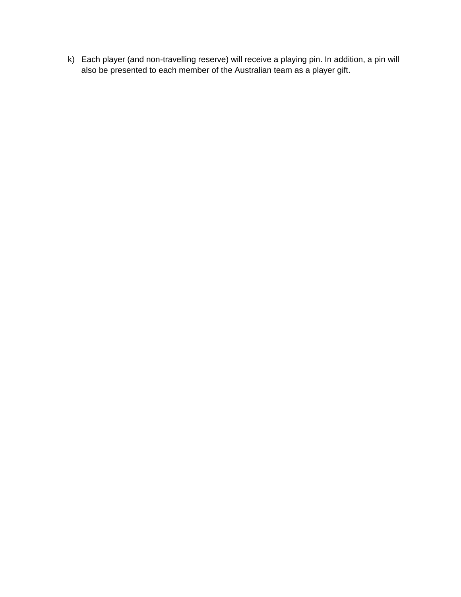k) Each player (and non-travelling reserve) will receive a playing pin. In addition, a pin will also be presented to each member of the Australian team as a player gift.